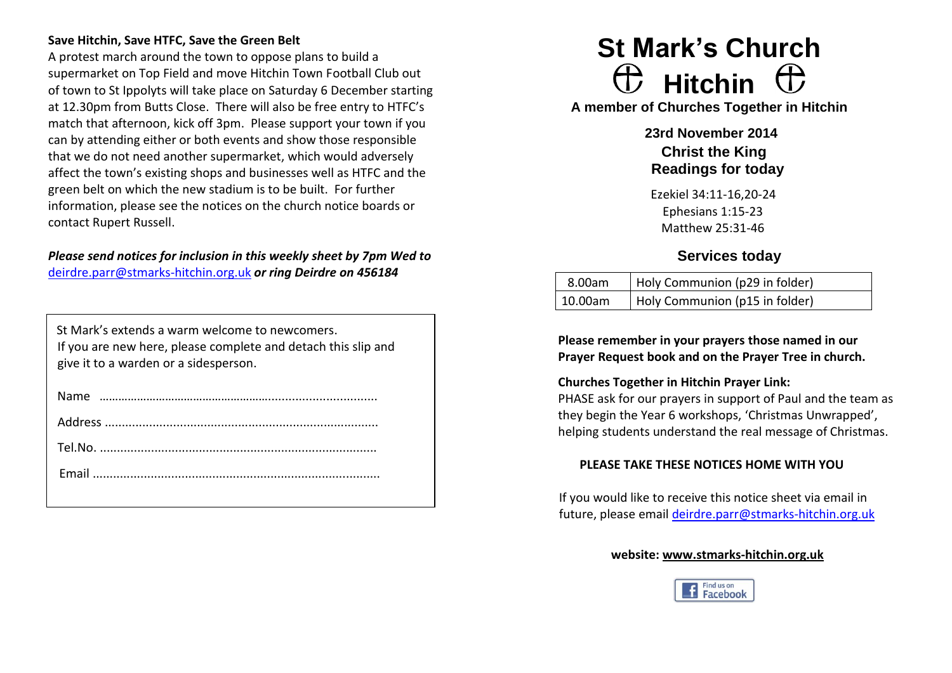#### **Save Hitchin, Save HTFC, Save the Green Belt**

A protest march around the town to oppose plans to build a supermarket on Top Field and move Hitchin Town Football Club out of town to St Ippolyts will take place on Saturday 6 December starting at 12.30pm from Butts Close. There will also be free entry to HTFC's match that afternoon, kick off 3pm. Please support your town if you can by attending either or both events and show those responsible that we do not need another supermarket, which would adversely affect the town's existing shops and businesses well as HTFC and the green belt on which the new stadium is to be built. For further information, please see the notices on the church notice boards or contact Rupert Russell.

# *Please send notices for inclusion in this weekly sheet by 7pm Wed to*  [deirdre.parr@stmarks-hitchin.org.uk](mailto:deirdre.parr@stmarks-hitchin.org.uk) *or ring Deirdre on 456184*

| St Mark's extends a warm welcome to newcomers.<br>If you are new here, please complete and detach this slip and<br>give it to a warden or a sidesperson. |
|----------------------------------------------------------------------------------------------------------------------------------------------------------|
| Name                                                                                                                                                     |
|                                                                                                                                                          |
|                                                                                                                                                          |

# **St Mark's Church Hitchin**

**A member of Churches Together in Hitchin**

**23rd November 2014 Christ the King Readings for today**

Ezekiel 34:11-16,20-24 Ephesians 1:15-23 Matthew 25:31-46

# **Services today**

| 8.00am  | Holy Communion (p29 in folder) |
|---------|--------------------------------|
| 10.00am | Holy Communion (p15 in folder) |

**Please remember in your prayers those named in our Prayer Request book and on the Prayer Tree in church.**

#### **Churches Together in Hitchin Prayer Link:**

PHASE ask for our prayers in support of Paul and the team as they begin the Year 6 workshops, 'Christmas Unwrapped', helping students understand the real message of Christmas.

# **PLEASE TAKE THESE NOTICES HOME WITH YOU**

If you would like to receive this notice sheet via email in future, please email [deirdre.parr@stmarks-hitchin.org.uk](mailto:deirdre.parr@stmarks-hitchin.org.uk)

#### **website: [www.stmarks-hitchin.org.uk](http://www.stmarks-hitchin.org.uk/)**

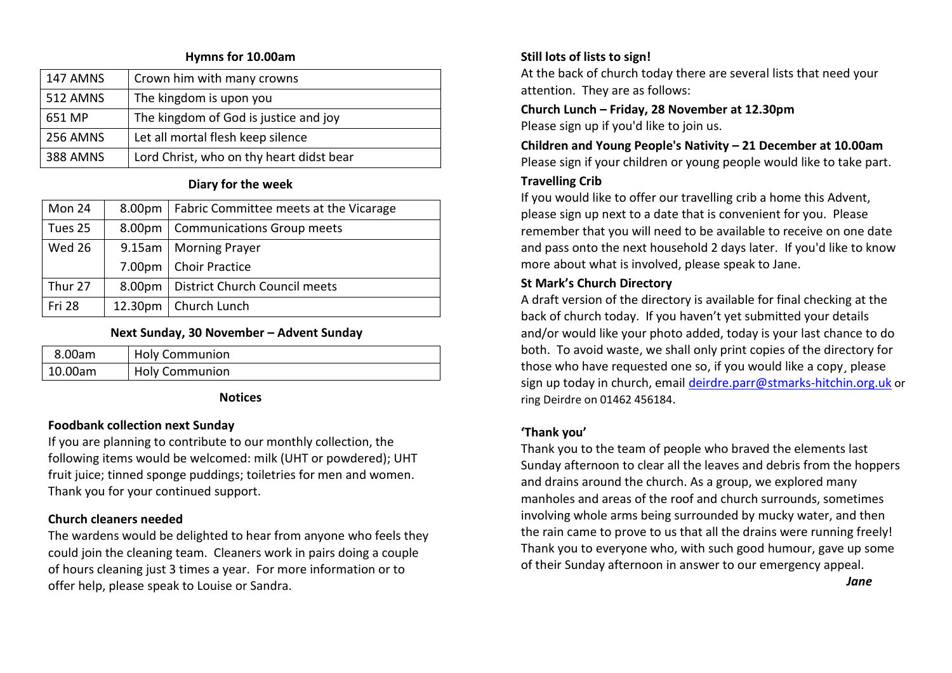#### **Hymns for 10.00am**

| 147 AMNS        | Crown him with many crowns               |
|-----------------|------------------------------------------|
| <b>512 AMNS</b> | The kingdom is upon you                  |
| 651 MP          | The kingdom of God is justice and joy    |
| 256 AMNS        | Let all mortal flesh keep silence        |
| <b>388 AMNS</b> | Lord Christ, who on thy heart didst bear |

#### **Diary for the week**

| Mon 24        | 8.00pm   Fabric Committee meets at the Vicarage |
|---------------|-------------------------------------------------|
| Tues 25       | 8.00pm   Communications Group meets             |
| Wed 26        | 9.15am   Morning Prayer                         |
|               | 7.00pm   Choir Practice                         |
| Thur 27       | 8.00pm   District Church Council meets          |
| <b>Fri 28</b> | 12.30pm   Church Lunch                          |

#### **Next Sunday, 30 November – Advent Sunday**

| 8.00am  | <b>Holy Communion</b> |
|---------|-----------------------|
| 10.00am | <b>Holy Communion</b> |

#### **Notices**

#### **Foodbank collection next Sunday**

If you are planning to contribute to our monthly collection, the following items would be welcomed: milk (UHT or powdered); UHT fruit juice; tinned sponge puddings; toiletries for men and women. Thank you for your continued support.

#### **Church cleaners needed**

The wardens would be delighted to hear from anyone who feels they could join the cleaning team. Cleaners work in pairs doing a couple of hours cleaning just 3 times a year. For more information or to offer help, please speak to Louise or Sandra.

### **Still lots of lists to sign!**

At the back of church today there are several lists that need your attention. They are as follows:

**Church Lunch – Friday, 28 November at 12.30pm** Please sign up if you'd like to join us.

# **Children and Young People's Nativity – 21 December at 10.00am** Please sign if your children or young people would like to take part.

#### **Travelling Crib**

If you would like to offer our travelling crib a home this Advent, please sign up next to a date that is convenient for you. Please remember that you will need to be available to receive on one date and pass onto the next household 2 days later. If you'd like to know more about what is involved, please speak to Jane.

#### **St Mark's Church Directory**

A draft version of the directory is available for final checking at the back of church today. If you haven't yet submitted your details and/or would like your photo added, today is your last chance to do both. To avoid waste, we shall only print copies of the directory for those who have requested one so, if you would like a copy please sign up today in church, email [deirdre.parr@stmarks-hitchin.org.uk](mailto:deirdre.parr@stmarks-hitchin.org.uk) or ring Deirdre on 01462 456184.

#### **'Thank you'**

Thank you to the team of people who braved the elements last Sunday afternoon to clear all the leaves and debris from the hoppers and drains around the church. As a group, we explored many manholes and areas of the roof and church surrounds, sometimes involving whole arms being surrounded by mucky water, and then the rain came to prove to us that all the drains were running freely! Thank you to everyone who, with such good humour, gave up some of their Sunday afternoon in answer to our emergency appeal.

*Jane*